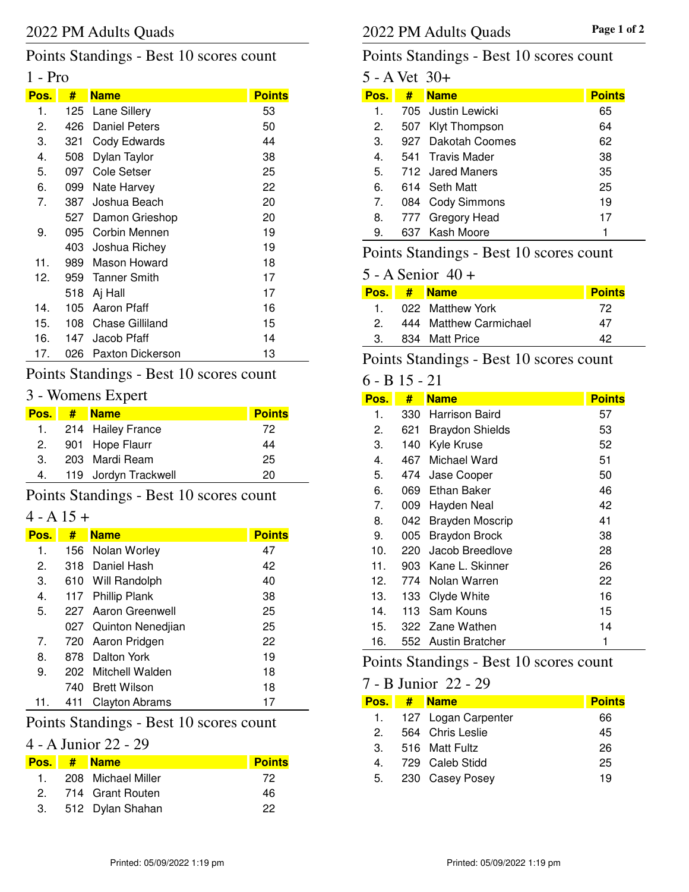# Points Standings - Best 10 scores count

## 1 - Pro

| Pos. | #   | <b>Name</b>          | <b>Points</b> |
|------|-----|----------------------|---------------|
| 1.   |     | 125 Lane Sillery     | 53            |
| 2.   | 426 | <b>Daniel Peters</b> | 50            |
| З.   | 321 | Cody Edwards         | 44            |
| 4.   | 508 | Dylan Taylor         | 38            |
| 5.   | 097 | Cole Setser          | 25            |
| 6.   | 099 | Nate Harvey          | 22            |
| 7.   | 387 | Joshua Beach         | 20            |
|      | 527 | Damon Grieshop       | 20            |
| 9.   | 095 | Corbin Mennen        | 19            |
|      | 403 | Joshua Richey        | 19            |
| 11.  | 989 | Mason Howard         | 18            |
| 12.  |     | 959 Tanner Smith     | 17            |
|      | 518 | Aj Hall              | 17            |
| 14.  | 105 | Aaron Pfaff          | 16            |
| 15.  | 108 | Chase Gilliland      | 15            |
| 16.  | 147 | Jacob Pfaff          | 14            |
| 17.  | 026 | Paxton Dickerson     | 13            |

# Points Standings - Best 10 scores count

# 3 - Womens Expert

| <b>Pos.</b> | # Name               | <b>Points</b> |
|-------------|----------------------|---------------|
|             | 1. 214 Hailey France | 72            |
|             | 2. 901 Hope Flaurr   | 44            |
| 3.          | 203 Mardi Ream       | 25            |
| 4.          | 119 Jordyn Trackwell | 20            |

Points Standings - Best 10 scores count

#### $4 - A 15 +$

| Pos.           | #     | <b>Name</b>           | <b>Points</b> |
|----------------|-------|-----------------------|---------------|
| 1.             |       | 156 Nolan Worley      | 47            |
| 2.             | 318   | Daniel Hash           | 42            |
| З.             |       | 610 Will Randolph     | 40            |
| 4.             |       | 117 Phillip Plank     | 38            |
| 5.             |       | 227 Aaron Greenwell   | 25            |
|                |       | 027 Quinton Nenedjian | 25            |
| 7 <sub>1</sub> |       | 720 Aaron Pridgen     | 22            |
| 8.             | 878 - | Dalton York           | 19            |
| 9.             |       | 202 Mitchell Walden   | 18            |
|                | 740.  | Brett Wilson          | 18            |
| 11.            | 411   | <b>Clayton Abrams</b> | 17            |

# Points Standings - Best 10 scores count

# 4 - A Junior 22 - 29

|                  | Pos. # Name         | <b>Points</b> |
|------------------|---------------------|---------------|
| 1 $\blacksquare$ | 208 Michael Miller  | 72            |
|                  | 2. 714 Grant Routen | 46            |
|                  | 3. 512 Dylan Shahan | 22            |

## Points Standings - Best 10 scores count

| 5 - A Vet 30+  |     |                     |               |
|----------------|-----|---------------------|---------------|
| Pos.           | #   | <b>Name</b>         | <b>Points</b> |
| 1.             |     | 705 Justin Lewicki  | 65            |
| 2.             | 507 | Klyt Thompson       | 64            |
| 3.             |     | 927 Dakotah Coomes  | 62            |
| $4_{\cdot}$    |     | 541 Travis Mader    | 38            |
| 5.             |     | 712 Jared Maners    | 35            |
| 6.             |     | 614 Seth Matt       | 25            |
| 7 <sub>1</sub> | 084 | <b>Cody Simmons</b> | 19            |
| 8.             |     | 777 Gregory Head    | 17            |
| 9.             |     | 637 Kash Moore      |               |
|                |     |                     |               |

# Points Standings - Best 10 scores count

## 5 - A Senior 40 +

|               | Pos. # Name            | <b>Points</b> |
|---------------|------------------------|---------------|
| $\mathbf{1}$  | 022 Matthew York       | 72            |
| $\mathcal{P}$ | 444 Matthew Carmichael | 47            |
| 3.            | 834 Matt Price         | ハウ            |

## Points Standings - Best 10 scores count

## 6 - B 15 - 21

| Pos. | #     | <b>Name</b>            | <b>Points</b> |
|------|-------|------------------------|---------------|
| 1.   | 330   | Harrison Baird         | 57            |
| 2.   | 621   | <b>Braydon Shields</b> | 53            |
| 3.   | 140   | Kyle Kruse             | 52            |
| 4.   | 467   | Michael Ward           | 51            |
| 5.   | 474   | Jase Cooper            | 50            |
| 6.   | 069 - | Ethan Baker            | 46            |
| 7.   | 009   | Hayden Neal            | 42            |
| 8.   | 042.  | <b>Brayden Moscrip</b> | 41            |
| 9.   | 005   | <b>Braydon Brock</b>   | 38            |
| 10.  | 220   | Jacob Breedlove        | 28            |
| 11.  | 903   | Kane L. Skinner        | 26            |
| 12.  | 774   | Nolan Warren           | 22            |
| 13.  | 133 - | Clyde White            | 16            |
| 14.  | 113   | Sam Kouns              | 15            |
| 15.  | 322   | Zane Wathen            | 14            |
| 16.  | 552   | <b>Austin Bratcher</b> | 1             |

## Points Standings - Best 10 scores count

#### 7 - B Junior 22 - 29

| Pos. I | # | <b>Name</b>            | <b>Points</b> |
|--------|---|------------------------|---------------|
|        |   | 1. 127 Logan Carpenter | 66            |
| 2      |   | 564 Chris Leslie       | 45            |
| 3.     |   | 516 Matt Fultz         | 26            |
| 4.     |   | 729 Caleb Stidd        | 25            |
| 5.     |   | 230 Casey Posey        | 19            |